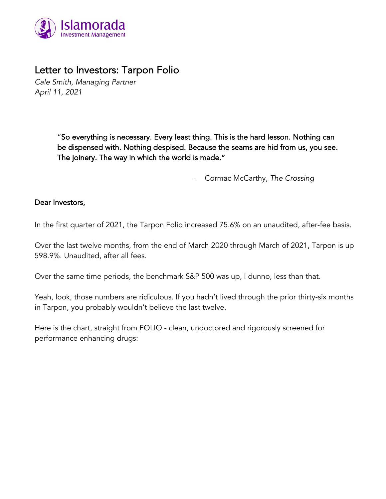

# Letter to Investors: Tarpon Folio

*Cale Smith, Managing Partner April 11, 2021*

> "So everything is necessary. Every least thing. This is the hard lesson. Nothing can be dispensed with. Nothing despised. Because the seams are hid from us, you see. The joinery. The way in which the world is made."

> > *-* Cormac McCarthy, *The Crossing*

#### Dear Investors,

In the first quarter of 2021, the Tarpon Folio increased 75.6% on an unaudited, after-fee basis.

Over the last twelve months, from the end of March 2020 through March of 2021, Tarpon is up 598.9%. Unaudited, after all fees.

Over the same time periods, the benchmark S&P 500 was up, I dunno, less than that.

Yeah, look, those numbers are ridiculous. If you hadn't lived through the prior thirty-six months in Tarpon, you probably wouldn't believe the last twelve.

Here is the chart, straight from FOLIO - clean, undoctored and rigorously screened for performance enhancing drugs: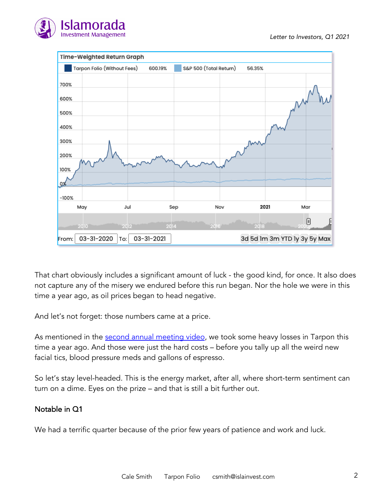



That chart obviously includes a significant amount of luck - the good kind, for once. It also does not capture any of the misery we endured before this run began. Nor the hole we were in this time a year ago, as oil prices began to head negative.

And let's not forget: those numbers came at a price.

As mentioned in the second annual meeting video, we took some heavy losses in Tarpon this time a year ago. And those were just the hard costs – before you tally up all the weird new facial tics, blood pressure meds and gallons of espresso.

So let's stay level-headed. This is the energy market, after all, where short-term sentiment can turn on a dime. Eyes on the prize – and that is still a bit further out.

## Notable in Q1

We had a terrific quarter because of the prior few years of patience and work and luck.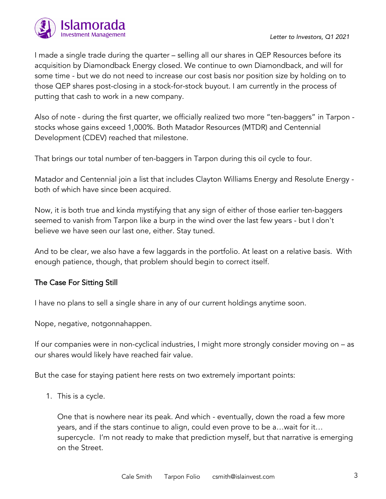

I made a single trade during the quarter – selling all our shares in QEP Resources before its acquisition by Diamondback Energy closed. We continue to own Diamondback, and will for some time - but we do not need to increase our cost basis nor position size by holding on to those QEP shares post-closing in a stock-for-stock buyout. I am currently in the process of putting that cash to work in a new company.

Also of note - during the first quarter, we officially realized two more "ten-baggers" in Tarpon stocks whose gains exceed 1,000%. Both Matador Resources (MTDR) and Centennial Development (CDEV) reached that milestone.

That brings our total number of ten-baggers in Tarpon during this oil cycle to four.

Matador and Centennial join a list that includes Clayton Williams Energy and Resolute Energy both of which have since been acquired.

Now, it is both true and kinda mystifying that any sign of either of those earlier ten-baggers seemed to vanish from Tarpon like a burp in the wind over the last few years - but I don't believe we have seen our last one, either. Stay tuned.

And to be clear, we also have a few laggards in the portfolio. At least on a relative basis. With enough patience, though, that problem should begin to correct itself.

## The Case For Sitting Still

I have no plans to sell a single share in any of our current holdings anytime soon.

Nope, negative, notgonnahappen.

If our companies were in non-cyclical industries, I might more strongly consider moving on – as our shares would likely have reached fair value.

But the case for staying patient here rests on two extremely important points:

1. This is a cycle.

One that is nowhere near its peak. And which - eventually, down the road a few more years, and if the stars continue to align, could even prove to be a…wait for it… supercycle. I'm not ready to make that prediction myself, but that narrative is emerging on the Street.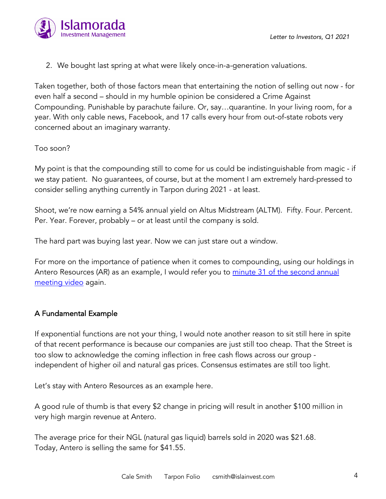

2. We bought last spring at what were likely once-in-a-generation valuations.

Taken together, both of those factors mean that entertaining the notion of selling out now - for even half a second – should in my humble opinion be considered a Crime Against Compounding. Punishable by parachute failure. Or, say…quarantine. In your living room, for a year. With only cable news, Facebook, and 17 calls every hour from out-of-state robots very concerned about an imaginary warranty.

#### Too soon?

My point is that the compounding still to come for us could be indistinguishable from magic - if we stay patient. No guarantees, of course, but at the moment I am extremely hard-pressed to consider selling anything currently in Tarpon during 2021 - at least.

Shoot, we're now earning a 54% annual yield on Altus Midstream (ALTM). Fifty. Four. Percent. Per. Year. Forever, probably – or at least until the company is sold.

The hard part was buying last year. Now we can just stare out a window.

For more on the importance of patience when it comes to compounding, using our holdings in Antero Resources (AR) as an example, I would refer you to <u>minute 31 of the second annual</u> meeting video again.

## A Fundamental Example

If exponential functions are not your thing, I would note another reason to sit still here in spite of that recent performance is because our companies are just still too cheap. That the Street is too slow to acknowledge the coming inflection in free cash flows across our group independent of higher oil and natural gas prices. Consensus estimates are still too light.

Let's stay with Antero Resources as an example here.

A good rule of thumb is that every \$2 change in pricing will result in another \$100 million in very high margin revenue at Antero.

The average price for their NGL (natural gas liquid) barrels sold in 2020 was \$21.68. Today, Antero is selling the same for \$41.55.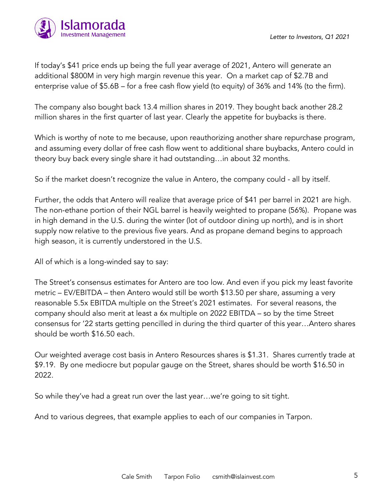

If today's \$41 price ends up being the full year average of 2021, Antero will generate an additional \$800M in very high margin revenue this year. On a market cap of \$2.7B and enterprise value of \$5.6B – for a free cash flow yield (to equity) of 36% and 14% (to the firm).

The company also bought back 13.4 million shares in 2019. They bought back another 28.2 million shares in the first quarter of last year. Clearly the appetite for buybacks is there.

Which is worthy of note to me because, upon reauthorizing another share repurchase program, and assuming every dollar of free cash flow went to additional share buybacks, Antero could in theory buy back every single share it had outstanding…in about 32 months.

So if the market doesn't recognize the value in Antero, the company could - all by itself.

Further, the odds that Antero will realize that average price of \$41 per barrel in 2021 are high. The non-ethane portion of their NGL barrel is heavily weighted to propane (56%). Propane was in high demand in the U.S. during the winter (lot of outdoor dining up north), and is in short supply now relative to the previous five years. And as propane demand begins to approach high season, it is currently understored in the U.S.

All of which is a long-winded say to say:

The Street's consensus estimates for Antero are too low. And even if you pick my least favorite metric – EV/EBITDA – then Antero would still be worth \$13.50 per share, assuming a very reasonable 5.5x EBITDA multiple on the Street's 2021 estimates. For several reasons, the company should also merit at least a 6x multiple on 2022 EBITDA – so by the time Street consensus for '22 starts getting pencilled in during the third quarter of this year…Antero shares should be worth \$16.50 each.

Our weighted average cost basis in Antero Resources shares is \$1.31. Shares currently trade at \$9.19. By one mediocre but popular gauge on the Street, shares should be worth \$16.50 in 2022.

So while they've had a great run over the last year…we're going to sit tight.

And to various degrees, that example applies to each of our companies in Tarpon.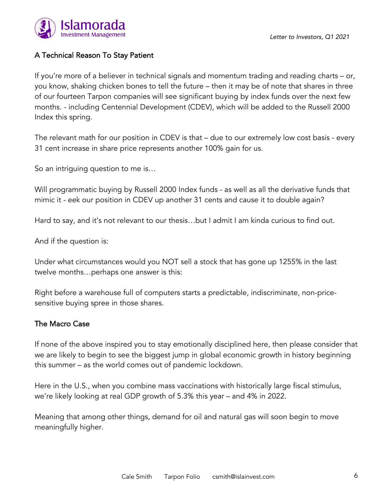

# A Technical Reason To Stay Patient

If you're more of a believer in technical signals and momentum trading and reading charts – or, you know, shaking chicken bones to tell the future – then it may be of note that shares in three of our fourteen Tarpon companies will see significant buying by index funds over the next few months. - including Centennial Development (CDEV), which will be added to the Russell 2000 Index this spring.

The relevant math for our position in CDEV is that – due to our extremely low cost basis - every 31 cent increase in share price represents another 100% gain for us.

So an intriguing question to me is…

Will programmatic buying by Russell 2000 Index funds - as well as all the derivative funds that mimic it - eek our position in CDEV up another 31 cents and cause it to double again?

Hard to say, and it's not relevant to our thesis…but I admit I am kinda curious to find out.

And if the question is:

Under what circumstances would you NOT sell a stock that has gone up 1255% in the last twelve months…perhaps one answer is this:

Right before a warehouse full of computers starts a predictable, indiscriminate, non-pricesensitive buying spree in those shares.

## The Macro Case

If none of the above inspired you to stay emotionally disciplined here, then please consider that we are likely to begin to see the biggest jump in global economic growth in history beginning this summer – as the world comes out of pandemic lockdown.

Here in the U.S., when you combine mass vaccinations with historically large fiscal stimulus, we're likely looking at real GDP growth of 5.3% this year – and 4% in 2022.

Meaning that among other things, demand for oil and natural gas will soon begin to move meaningfully higher.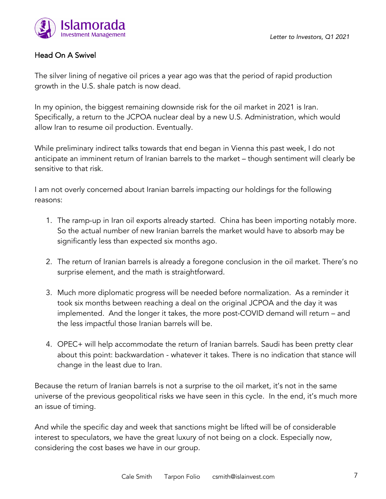

# Head On A Swivel

The silver lining of negative oil prices a year ago was that the period of rapid production growth in the U.S. shale patch is now dead.

In my opinion, the biggest remaining downside risk for the oil market in 2021 is Iran. Specifically, a return to the JCPOA nuclear deal by a new U.S. Administration, which would allow Iran to resume oil production. Eventually.

While preliminary indirect talks towards that end began in Vienna this past week, I do not anticipate an imminent return of Iranian barrels to the market – though sentiment will clearly be sensitive to that risk.

I am not overly concerned about Iranian barrels impacting our holdings for the following reasons:

- 1. The ramp-up in Iran oil exports already started. China has been importing notably more. So the actual number of new Iranian barrels the market would have to absorb may be significantly less than expected six months ago.
- 2. The return of Iranian barrels is already a foregone conclusion in the oil market. There's no surprise element, and the math is straightforward.
- 3. Much more diplomatic progress will be needed before normalization. As a reminder it took six months between reaching a deal on the original JCPOA and the day it was implemented. And the longer it takes, the more post-COVID demand will return – and the less impactful those Iranian barrels will be.
- 4. OPEC+ will help accommodate the return of Iranian barrels. Saudi has been pretty clear about this point: backwardation - whatever it takes. There is no indication that stance will change in the least due to Iran.

Because the return of Iranian barrels is not a surprise to the oil market, it's not in the same universe of the previous geopolitical risks we have seen in this cycle. In the end, it's much more an issue of timing.

And while the specific day and week that sanctions might be lifted will be of considerable interest to speculators, we have the great luxury of not being on a clock. Especially now, considering the cost bases we have in our group.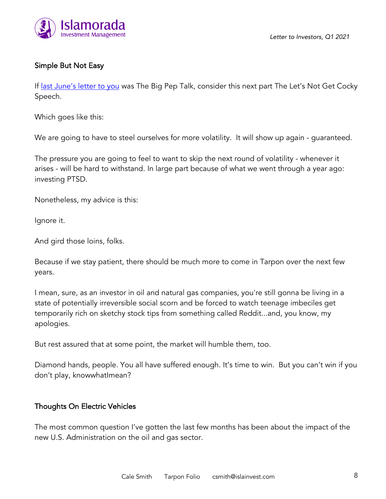

## Simple But Not Easy

If <u>last June's letter to you</u> was The Big Pep Talk, consider this next part The Let's Not Get Cocky Speech.

Which goes like this:

We are going to have to steel ourselves for more volatility. It will show up again - guaranteed.

The pressure you are going to feel to want to skip the next round of volatility - whenever it arises - will be hard to withstand. In large part because of what we went through a year ago: investing PTSD.

Nonetheless, my advice is this:

Ignore it.

And gird those loins, folks.

Because if we stay patient, there should be much more to come in Tarpon over the next few years.

I mean, sure, as an investor in oil and natural gas companies, you're still gonna be living in a state of potentially irreversible social scorn and be forced to watch teenage imbeciles get temporarily rich on sketchy stock tips from something called Reddit...and, you know, my apologies.

But rest assured that at some point, the market will humble them, too.

Diamond hands, people. You all have suffered enough. It's time to win. But you can't win if you don't play, knowwhatImean?

#### Thoughts On Electric Vehicles

The most common question I've gotten the last few months has been about the impact of the new U.S. Administration on the oil and gas sector.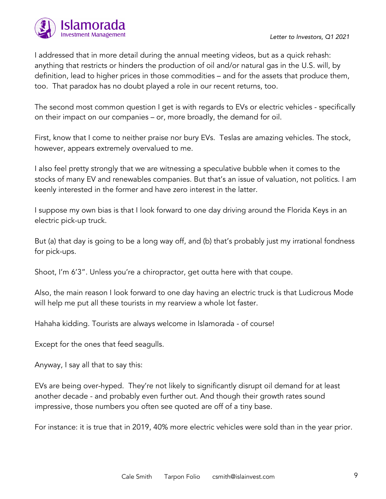

I addressed that in more detail during the annual meeting videos, but as a quick rehash: anything that restricts or hinders the production of oil and/or natural gas in the U.S. will, by definition, lead to higher prices in those commodities – and for the assets that produce them, too. That paradox has no doubt played a role in our recent returns, too.

The second most common question I get is with regards to EVs or electric vehicles - specifically on their impact on our companies – or, more broadly, the demand for oil.

First, know that I come to neither praise nor bury EVs. Teslas are amazing vehicles. The stock, however, appears extremely overvalued to me.

I also feel pretty strongly that we are witnessing a speculative bubble when it comes to the stocks of many EV and renewables companies. But that's an issue of valuation, not politics. I am keenly interested in the former and have zero interest in the latter.

I suppose my own bias is that I look forward to one day driving around the Florida Keys in an electric pick-up truck.

But (a) that day is going to be a long way off, and (b) that's probably just my irrational fondness for pick-ups.

Shoot, I'm 6'3". Unless you're a chiropractor, get outta here with that coupe.

Also, the main reason I look forward to one day having an electric truck is that Ludicrous Mode will help me put all these tourists in my rearview a whole lot faster.

Hahaha kidding. Tourists are always welcome in Islamorada - of course!

Except for the ones that feed seagulls.

Anyway, I say all that to say this:

EVs are being over-hyped. They're not likely to significantly disrupt oil demand for at least another decade - and probably even further out. And though their growth rates sound impressive, those numbers you often see quoted are off of a tiny base.

For instance: it is true that in 2019, 40% more electric vehicles were sold than in the year prior.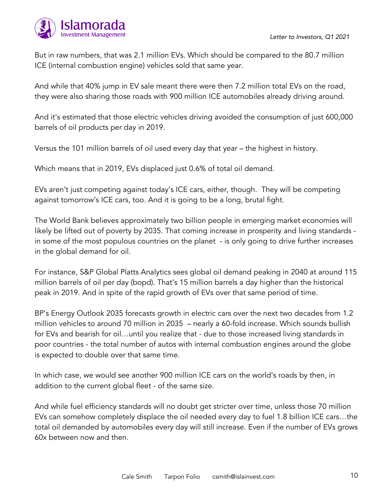

But in raw numbers, that was 2.1 million EVs. Which should be compared to the 80.7 million ICE (internal combustion engine) vehicles sold that same year.

And while that 40% jump in EV sale meant there were then 7.2 million total EVs on the road, they were also sharing those roads with 900 million ICE automobiles already driving around.

And it's estimated that those electric vehicles driving avoided the consumption of just 600,000 barrels of oil products per day in 2019.

Versus the 101 million barrels of oil used every day that year – the highest in history.

Which means that in 2019, EVs displaced just 0.6% of total oil demand.

EVs aren't just competing against today's ICE cars, either, though. They will be competing against tomorrow's ICE cars, too. And it is going to be a long, brutal fight.

The World Bank believes approximately two billion people in emerging market economies will likely be lifted out of poverty by 2035. That coming increase in prosperity and living standards in some of the most populous countries on the planet - is only going to drive further increases in the global demand for oil.

For instance, S&P Global Platts Analytics sees global oil demand peaking in 2040 at around 115 million barrels of oil per day (bopd). That's 15 million barrels a day higher than the historical peak in 2019. And in spite of the rapid growth of EVs over that same period of time.

BP's Energy Outlook 2035 forecasts growth in electric cars over the next two decades from 1.2 million vehicles to around 70 million in 2035 – nearly a 60-fold increase. Which sounds bullish for EVs and bearish for oil…until you realize that - due to those increased living standards in poor countries - the total number of autos with internal combustion engines around the globe is expected to double over that same time.

In which case, we would see another 900 million ICE cars on the world's roads by then, in addition to the current global fleet - of the same size.

And while fuel efficiency standards will no doubt get stricter over time, unless those 70 million EVs can somehow completely displace the oil needed every day to fuel 1.8 billion ICE cars…the total oil demanded by automobiles every day will still increase. Even if the number of EVs grows 60x between now and then.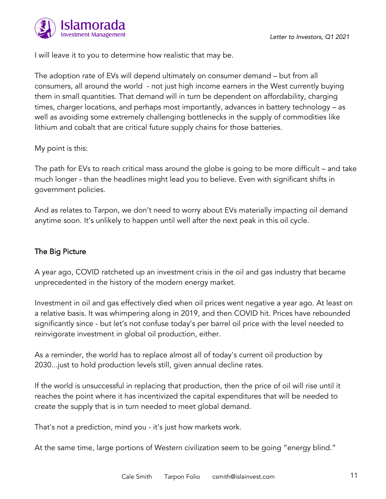

I will leave it to you to determine how realistic that may be.

The adoption rate of EVs will depend ultimately on consumer demand – but from all consumers, all around the world - not just high income earners in the West currently buying them in small quantities. That demand will in turn be dependent on affordability, charging times, charger locations, and perhaps most importantly, advances in battery technology – as well as avoiding some extremely challenging bottlenecks in the supply of commodities like lithium and cobalt that are critical future supply chains for those batteries.

#### My point is this:

The path for EVs to reach critical mass around the globe is going to be more difficult – and take much longer - than the headlines might lead you to believe. Even with significant shifts in government policies.

And as relates to Tarpon, we don't need to worry about EVs materially impacting oil demand anytime soon. It's unlikely to happen until well after the next peak in this oil cycle.

## The Big Picture

A year ago, COVID ratcheted up an investment crisis in the oil and gas industry that became unprecedented in the history of the modern energy market.

Investment in oil and gas effectively died when oil prices went negative a year ago. At least on a relative basis. It was whimpering along in 2019, and then COVID hit. Prices have rebounded significantly since - but let's not confuse today's per barrel oil price with the level needed to reinvigorate investment in global oil production, either.

As a reminder, the world has to replace almost all of today's current oil production by 2030...just to hold production levels still, given annual decline rates.

If the world is unsuccessful in replacing that production, then the price of oil will rise until it reaches the point where it has incentivized the capital expenditures that will be needed to create the supply that is in turn needed to meet global demand.

That's not a prediction, mind you - it's just how markets work.

At the same time, large portions of Western civilization seem to be going "energy blind."